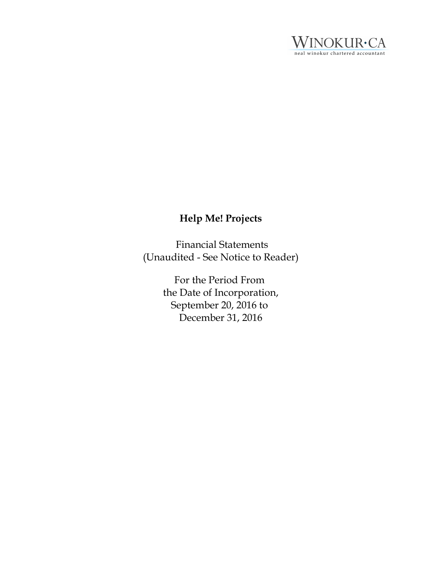

# **Help Me! Projects**

 Financial Statements (Unaudited - See Notice to Reader)

> For the Period From the Date of Incorporation, September 20, 2016 to December 31, 2016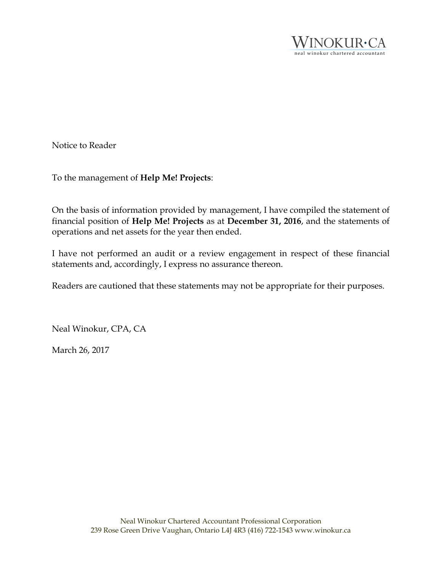

Notice to Reader

To the management of **Help Me! Projects**:

On the basis of information provided by management, I have compiled the statement of financial position of **Help Me! Projects** as at **December 31, 2016**, and the statements of operations and net assets for the year then ended.

I have not performed an audit or a review engagement in respect of these financial statements and, accordingly, I express no assurance thereon.

Readers are cautioned that these statements may not be appropriate for their purposes.

Neal Winokur, CPA, CA

March 26, 2017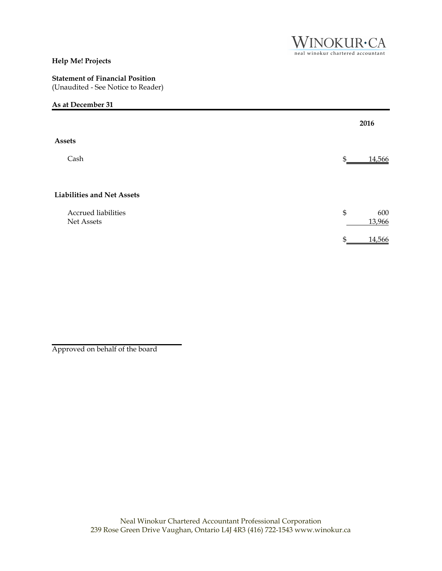

## **Help Me! Projects**

## **Statement of Financial Position**

(Unaudited - See Notice to Reader)

## **As at December 31**

|                                   |                | 2016          |
|-----------------------------------|----------------|---------------|
| <b>Assets</b>                     |                |               |
| Cash                              | $\mathfrak{L}$ | 14,566        |
| <b>Liabilities and Net Assets</b> |                |               |
| Accrued liabilities<br>Net Assets | \$             | 600<br>13,966 |
|                                   | \$             | 14,566        |

Approved on behalf of the board